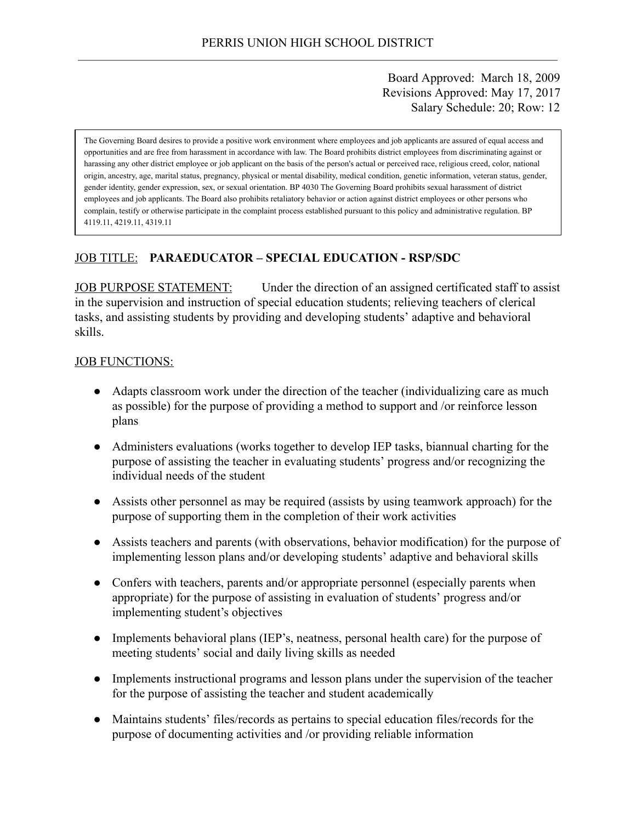Board Approved: March 18, 2009 Revisions Approved: May 17, 2017 Salary Schedule: 20; Row: 12

The Governing Board desires to provide a positive work environment where employees and job applicants are assured of equal access and opportunities and are free from harassment in accordance with law. The Board prohibits district employees from discriminating against or harassing any other district employee or job applicant on the basis of the person's actual or perceived race, religious creed, color, national origin, ancestry, age, marital status, pregnancy, physical or mental disability, medical condition, genetic information, veteran status, gender, gender identity, gender expression, sex, or sexual orientation. BP 4030 The Governing Board prohibits sexual harassment of district employees and job applicants. The Board also prohibits retaliatory behavior or action against district employees or other persons who complain, testify or otherwise participate in the complaint process established pursuant to this policy and administrative regulation. BP 4119.11, 4219.11, 4319.11

# JOB TITLE: **PARAEDUCATOR – SPECIAL EDUCATION - RSP/SDC**

JOB PURPOSE STATEMENT: Under the direction of an assigned certificated staff to assist in the supervision and instruction of special education students; relieving teachers of clerical tasks, and assisting students by providing and developing students' adaptive and behavioral skills.

#### JOB FUNCTIONS:

- Adapts classroom work under the direction of the teacher (individualizing care as much as possible) for the purpose of providing a method to support and /or reinforce lesson plans
- Administers evaluations (works together to develop IEP tasks, biannual charting for the purpose of assisting the teacher in evaluating students' progress and/or recognizing the individual needs of the student
- Assists other personnel as may be required (assists by using teamwork approach) for the purpose of supporting them in the completion of their work activities
- Assists teachers and parents (with observations, behavior modification) for the purpose of implementing lesson plans and/or developing students' adaptive and behavioral skills
- Confers with teachers, parents and/or appropriate personnel (especially parents when appropriate) for the purpose of assisting in evaluation of students' progress and/or implementing student's objectives
- Implements behavioral plans (IEP's, neatness, personal health care) for the purpose of meeting students' social and daily living skills as needed
- Implements instructional programs and lesson plans under the supervision of the teacher for the purpose of assisting the teacher and student academically
- Maintains students' files/records as pertains to special education files/records for the purpose of documenting activities and /or providing reliable information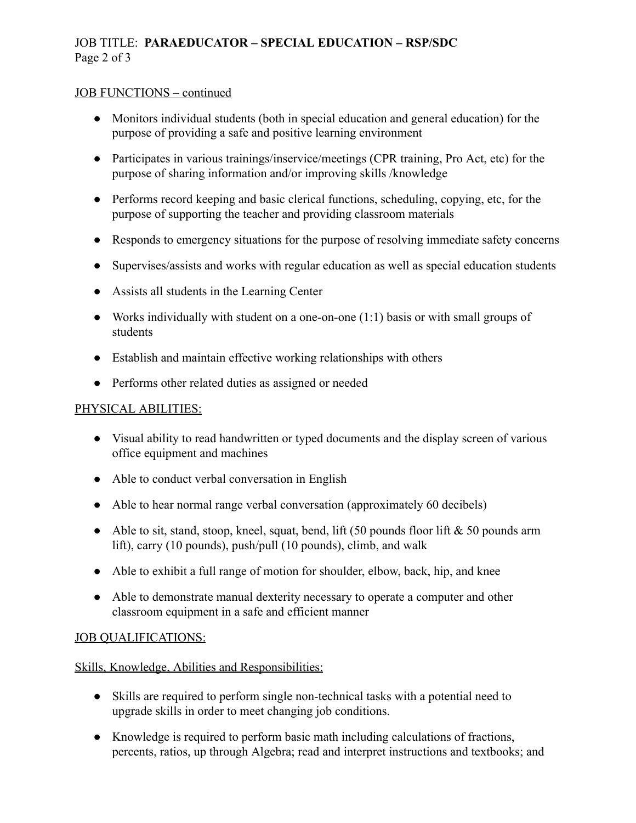# JOB TITLE: **PARAEDUCATOR – SPECIAL EDUCATION – RSP/SDC** Page 2 of 3

#### JOB FUNCTIONS – continued

- Monitors individual students (both in special education and general education) for the purpose of providing a safe and positive learning environment
- Participates in various trainings/inservice/meetings (CPR training, Pro Act, etc) for the purpose of sharing information and/or improving skills /knowledge
- Performs record keeping and basic clerical functions, scheduling, copying, etc, for the purpose of supporting the teacher and providing classroom materials
- Responds to emergency situations for the purpose of resolving immediate safety concerns
- Supervises/assists and works with regular education as well as special education students
- Assists all students in the Learning Center
- Works individually with student on a one-on-one  $(1:1)$  basis or with small groups of students
- Establish and maintain effective working relationships with others
- Performs other related duties as assigned or needed

### PHYSICAL ABILITIES:

- Visual ability to read handwritten or typed documents and the display screen of various office equipment and machines
- Able to conduct verbal conversation in English
- Able to hear normal range verbal conversation (approximately 60 decibels)
- Able to sit, stand, stoop, kneel, squat, bend, lift (50 pounds floor lift & 50 pounds arm lift), carry (10 pounds), push/pull (10 pounds), climb, and walk
- Able to exhibit a full range of motion for shoulder, elbow, back, hip, and knee
- Able to demonstrate manual dexterity necessary to operate a computer and other classroom equipment in a safe and efficient manner

## JOB QUALIFICATIONS:

Skills, Knowledge, Abilities and Responsibilities:

- Skills are required to perform single non-technical tasks with a potential need to upgrade skills in order to meet changing job conditions.
- Knowledge is required to perform basic math including calculations of fractions, percents, ratios, up through Algebra; read and interpret instructions and textbooks; and